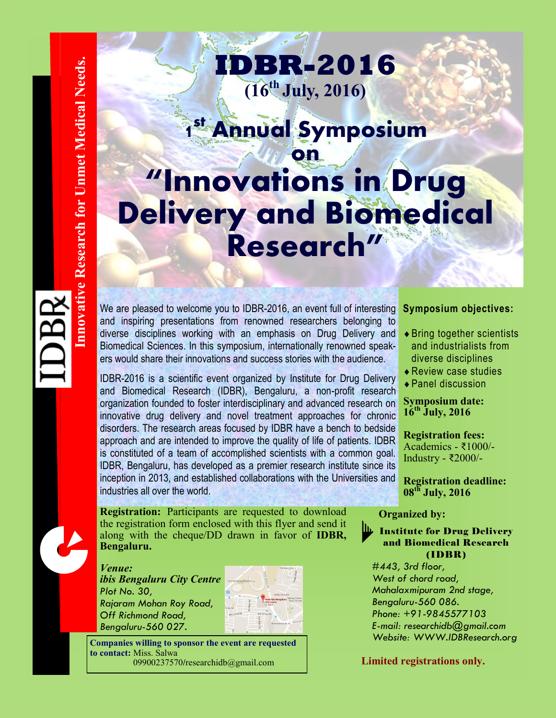**1 st Annual Symposium on "Innovations in Drug Delivery and Biomedical Research"**

**IDBR-2016**

**(16th July, 2016)**

We are pleased to welcome you to IDBR-2016, an event full of interesting and inspiring presentations from renowned researchers belonging to diverse disciplines working with an emphasis on Drug Delivery and Biomedical Sciences. In this symposium, internationally renowned speakers would share their innovations and success stories with the audience.

IDBR-2016 is a scientific event organized by Institute for Drug Delivery and Biomedical Research (IDBR), Bengaluru, a non-profit research organization founded to foster interdisciplinary and advanced research on innovative drug delivery and novel treatment approaches for chronic disorders. The research areas focused by IDBR have a bench to bedside approach and are intended to improve the quality of life of patients. IDBR is constituted of a team of accomplished scientists with a common goal. IDBR, Bengaluru, has developed as a premier research institute since its inception in 2013, and established collaborations with the Universities and industries all over the world.

**Registration:** Participants are requested to download the registration form enclosed with this flyer and send it along with the cheque/DD drawn in favor of **IDBR, Bengaluru.**

*Venue:* 

*ibis Bengaluru City Centre Plot No. 30, Rajaram Mohan Roy Road, Off Richmond Road, Bengaluru-560 027.*



**Companies willing to sponsor the event are requested to contact:** Miss. Salwa 09900237570**/**researchidb@gmail.com

### **Symposium objectives:**

- Bring together scientists and industrialists from diverse disciplines
- Review case studies
- Panel discussion

**Symposium date: 16th July, 2016**

**Registration fees:** Academics - ₹1000/- Industry - ₹2000/-

**Registration deadline: 08th July, 2016**

#### **Organized by:**

**Institute for Drug Delivery** and Biomedical Research (IDBR)

*#443, 3rd floor, West of chord road, Mahalaxmipuram 2nd stage, Bengaluru-560 086. Phone: +91-9845577103 E-mail: researchidb@gmail.com Website: WWW.IDBResearch.org*

#### **Limited registrations only.**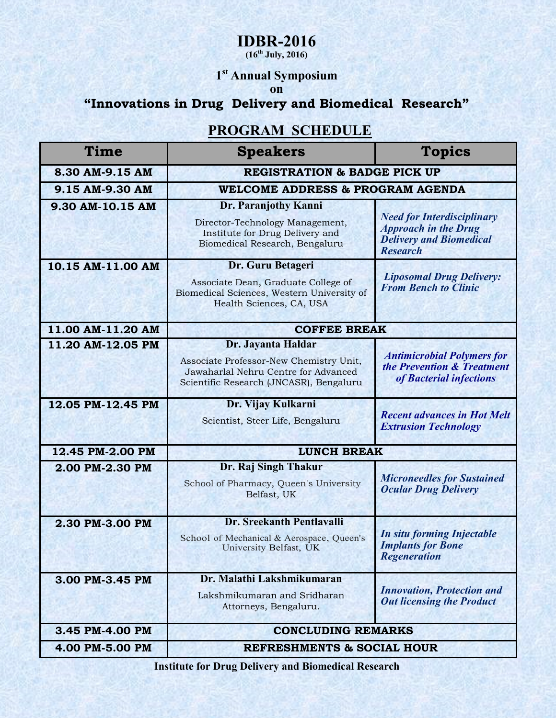### **IDBR-2016**

**(16th July, 2016)**

### **1 st Annual Symposium**

### **on**

## **"Innovations in Drug Delivery and Biomedical Research"**

### **PROGRAM SCHEDULE**

| Time              | <b>Speakers</b>                                                                                                                    | <b>Topics</b>                                                                                                         |
|-------------------|------------------------------------------------------------------------------------------------------------------------------------|-----------------------------------------------------------------------------------------------------------------------|
| 8.30 AM-9.15 AM   | <b>REGISTRATION &amp; BADGE PICK UP</b>                                                                                            |                                                                                                                       |
| 9.15 AM-9.30 AM   | <b>WELCOME ADDRESS &amp; PROGRAM AGENDA</b>                                                                                        |                                                                                                                       |
| 9.30 AM-10.15 AM  | Dr. Paranjothy Kanni                                                                                                               |                                                                                                                       |
|                   | Director-Technology Management,<br>Institute for Drug Delivery and<br>Biomedical Research, Bengaluru                               | <b>Need for Interdisciplinary</b><br><b>Approach in the Drug</b><br><b>Delivery and Biomedical</b><br><b>Research</b> |
| 10.15 AM-11.00 AM | Dr. Guru Betageri<br>Associate Dean, Graduate College of<br>Biomedical Sciences, Western University of<br>Health Sciences, CA, USA | <b>Liposomal Drug Delivery:</b><br><b>From Bench to Clinic</b>                                                        |
| 11.00 AM-11.20 AM | <b>COFFEE BREAK</b>                                                                                                                |                                                                                                                       |
| 11.20 AM-12.05 PM | Dr. Jayanta Haldar                                                                                                                 |                                                                                                                       |
|                   | Associate Professor-New Chemistry Unit,<br>Jawaharlal Nehru Centre for Advanced<br>Scientific Research (JNCASR), Bengaluru         | <b>Antimicrobial Polymers for</b><br>the Prevention & Treatment<br>of Bacterial infections                            |
| 12.05 PM-12.45 PM | Dr. Vijay Kulkarni                                                                                                                 |                                                                                                                       |
|                   | Scientist, Steer Life, Bengaluru                                                                                                   | <b>Recent advances in Hot Melt</b><br><b>Extrusion Technology</b>                                                     |
| 12.45 PM-2.00 PM  | <b>LUNCH BREAK</b>                                                                                                                 |                                                                                                                       |
| 2.00 PM-2.30 PM   | Dr. Raj Singh Thakur                                                                                                               |                                                                                                                       |
|                   | School of Pharmacy, Queen's University<br>Belfast, UK                                                                              | <b>Microneedles for Sustained</b><br><b>Ocular Drug Delivery</b>                                                      |
| 2.30 PM-3.00 PM   | Dr. Sreekanth Pentlavalli                                                                                                          |                                                                                                                       |
|                   | School of Mechanical & Aerospace, Queen's<br>University Belfast, UK                                                                | <b>In situ forming Injectable</b><br><b>Implants for Bone</b><br><b>Regeneration</b>                                  |
| 3.00 PM-3.45 PM   | Dr. Malathi Lakshmikumaran                                                                                                         |                                                                                                                       |
|                   | Lakshmikumaran and Sridharan<br>Attorneys, Bengaluru.                                                                              | <b>Innovation, Protection and</b><br><b>Out licensing the Product</b>                                                 |
| 3.45 PM-4.00 PM   | <b>CONCLUDING REMARKS</b>                                                                                                          |                                                                                                                       |
| 4.00 PM-5.00 PM   | <b>REFRESHMENTS &amp; SOCIAL HOUR</b>                                                                                              |                                                                                                                       |

**Institute for Drug Delivery and Biomedical Research**